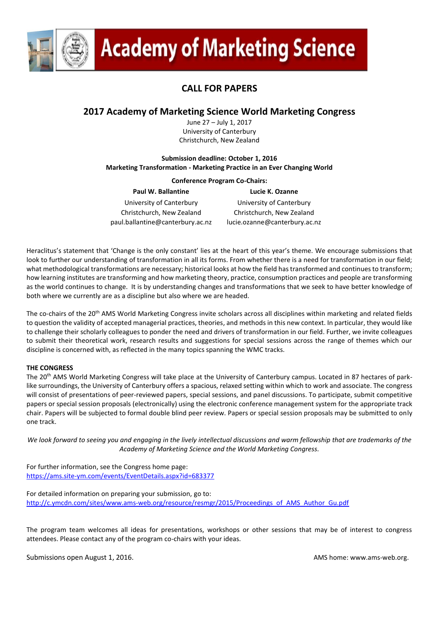

# **Academy of Marketing Science**

# **CALL FOR PAPERS**

# **2017 Academy of Marketing Science World Marketing Congress**

June 27 – July 1, 2017 University of Canterbury Christchurch, New Zealand

# **Submission deadline: October 1, 2016 Marketing Transformation - Marketing Practice in an Ever Changing World**

# **Conference Program Co-Chairs:**

**Paul W. Ballantine Lucie K. Ozanne** University of Canterbury University of Canterbury Christchurch, New Zealand Christchurch, New Zealand paul.ballantine@canterbury.ac.nz lucie.ozanne@canterbury.ac.nz

Heraclitus's statement that 'Change is the only constant' lies at the heart of this year's theme. We encourage submissions that look to further our understanding of transformation in all its forms. From whether there is a need for transformation in our field; what methodological transformations are necessary; historical looks at how the field has transformed and continues to transform; how learning institutes are transforming and how marketing theory, practice, consumption practices and people are transforming as the world continues to change. It is by understanding changes and transformations that we seek to have better knowledge of both where we currently are as a discipline but also where we are headed.

The co-chairs of the 20<sup>th</sup> AMS World Marketing Congress invite scholars across all disciplines within marketing and related fields to question the validity of accepted managerial practices, theories, and methods in this new context. In particular, they would like to challenge their scholarly colleagues to ponder the need and drivers of transformation in our field. Further, we invite colleagues to submit their theoretical work, research results and suggestions for special sessions across the range of themes which our discipline is concerned with, as reflected in the many topics spanning the WMC tracks.

# **THE CONGRESS**

The 20<sup>th</sup> AMS World Marketing Congress will take place at the University of Canterbury campus. Located in 87 hectares of parklike surroundings, the University of Canterbury offers a spacious, relaxed setting within which to work and associate. The congress will consist of presentations of peer-reviewed papers, special sessions, and panel discussions. To participate, submit competitive papers or special session proposals (electronically) using the electronic conference management system for the appropriate track chair. Papers will be subjected to formal double blind peer review. Papers or special session proposals may be submitted to only one track.

*We look forward to seeing you and engaging in the lively intellectual discussions and warm fellowship that are trademarks of the Academy of Marketing Science and the World Marketing Congress.*

For further information, see the Congress home page: <https://ams.site-ym.com/events/EventDetails.aspx?id=683377>

For detailed information on preparing your submission, go to: [http://c.ymcdn.com/sites/www.ams-web.org/resource/resmgr/2015/Proceedings\\_of\\_AMS\\_Author\\_Gu.pdf](http://c.ymcdn.com/sites/www.ams-web.org/resource/resmgr/2015/Proceedings_of_AMS_Author_Gu.pdf)

The program team welcomes all ideas for presentations, workshops or other sessions that may be of interest to congress attendees. Please contact any of the program co-chairs with your ideas.

Submissions open August 1, 2016. AMS home: [www.ams-web.org.](http://www.ams-web.org/)